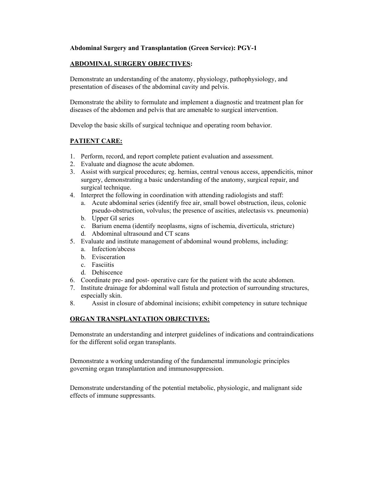### **Abdominal Surgery and Transplantation (Green Service): PGY-1**

# **ABDOMINAL SURGERY OBJECTIVES:**

Demonstrate an understanding of the anatomy, physiology, pathophysiology, and presentation of diseases of the abdominal cavity and pelvis.

Demonstrate the ability to formulate and implement a diagnostic and treatment plan for diseases of the abdomen and pelvis that are amenable to surgical intervention.

Develop the basic skills of surgical technique and operating room behavior.

### **PATIENT CARE:**

- 1. Perform, record, and report complete patient evaluation and assessment.
- 2. Evaluate and diagnose the acute abdomen.
- 3. Assist with surgical procedures; eg. hernias, central venous access, appendicitis, minor surgery, demonstrating a basic understanding of the anatomy, surgical repair, and surgical technique.
- 4. Interpret the following in coordination with attending radiologists and staff:
	- a. Acute abdominal series (identify free air, small bowel obstruction, ileus, colonic pseudo-obstruction, volvulus; the presence of ascities, atelectasis vs. pneumonia)
	- b. Upper GI series
	- c. Barium enema (identify neoplasms, signs of ischemia, diverticula, stricture)
	- d. Abdominal ultrasound and CT scans
- 5. Evaluate and institute management of abdominal wound problems, including:
	- a. Infection/abcess
	- b. Evisceration
	- c. Fasciitis
	- d. Dehiscence
- 6. Coordinate pre- and post- operative care for the patient with the acute abdomen.
- 7. Institute drainage for abdominal wall fistula and protection of surrounding structures, especially skin.
- 8. Assist in closure of abdominal incisions; exhibit competency in suture technique

#### **ORGAN TRANSPLANTATION OBJECTIVES:**

Demonstrate an understanding and interpret guidelines of indications and contraindications for the different solid organ transplants.

Demonstrate a working understanding of the fundamental immunologic principles governing organ transplantation and immunosuppression.

Demonstrate understanding of the potential metabolic, physiologic, and malignant side effects of immune suppressants.